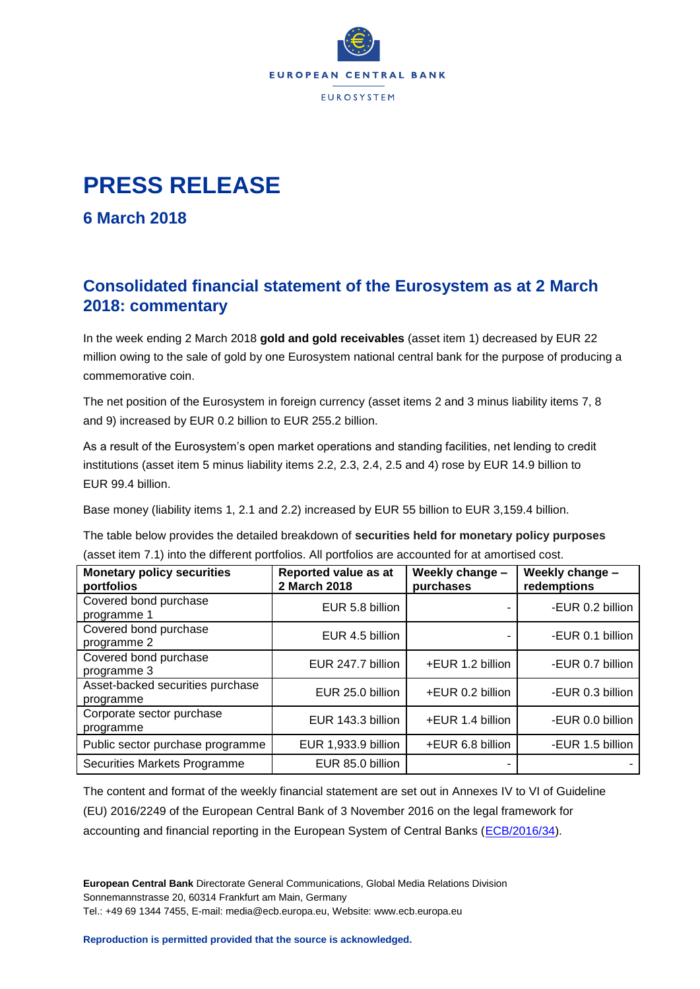

## **PRESS RELEASE**

**6 March 2018**

## **Consolidated financial statement of the Eurosystem as at 2 March 2018: commentary**

In the week ending 2 March 2018 **gold and gold receivables** (asset item 1) decreased by EUR 22 million owing to the sale of gold by one Eurosystem national central bank for the purpose of producing a commemorative coin.

The net position of the Eurosystem in foreign currency (asset items 2 and 3 minus liability items 7, 8 and 9) increased by EUR 0.2 billion to EUR 255.2 billion.

As a result of the Eurosystem's open market operations and standing facilities, net lending to credit institutions (asset item 5 minus liability items 2.2, 2.3, 2.4, 2.5 and 4) rose by EUR 14.9 billion to EUR 99.4 billion.

Base money (liability items 1, 2.1 and 2.2) increased by EUR 55 billion to EUR 3,159.4 billion.

The table below provides the detailed breakdown of **securities held for monetary policy purposes** (asset item 7.1) into the different portfolios. All portfolios are accounted for at amortised cost.

| <b>Monetary policy securities</b><br>portfolios | Reported value as at<br>2 March 2018 | Weekly change -<br>purchases | Weekly change -<br>redemptions |
|-------------------------------------------------|--------------------------------------|------------------------------|--------------------------------|
| Covered bond purchase<br>programme 1            | EUR 5.8 billion                      |                              | -EUR 0.2 billion               |
| Covered bond purchase<br>programme 2            | EUR 4.5 billion                      |                              | -EUR 0.1 billion               |
| Covered bond purchase<br>programme 3            | EUR 247.7 billion                    | +EUR 1.2 billion             | -EUR 0.7 billion               |
| Asset-backed securities purchase<br>programme   | EUR 25.0 billion                     | +EUR 0.2 billion             | -EUR 0.3 billion               |
| Corporate sector purchase<br>programme          | EUR 143.3 billion                    | +EUR 1.4 billion             | -EUR 0.0 billion               |
| Public sector purchase programme                | EUR 1,933.9 billion                  | +EUR 6.8 billion             | -EUR 1.5 billion               |
| Securities Markets Programme                    | EUR 85.0 billion                     |                              |                                |

The content and format of the weekly financial statement are set out in Annexes IV to VI of Guideline (EU) 2016/2249 of the European Central Bank of 3 November 2016 on the legal framework for accounting and financial reporting in the European System of Central Banks [\(ECB/2016/34\)](http://www.ecb.europa.eu/ecb/legal/1001/1012/html/index.en.html).

**European Central Bank** Directorate General Communications, Global Media Relations Division Sonnemannstrasse 20, 60314 Frankfurt am Main, Germany Tel.: +49 69 1344 7455, E-mail: media@ecb.europa.eu, Website: www.ecb.europa.eu

**Reproduction is permitted provided that the source is acknowledged.**